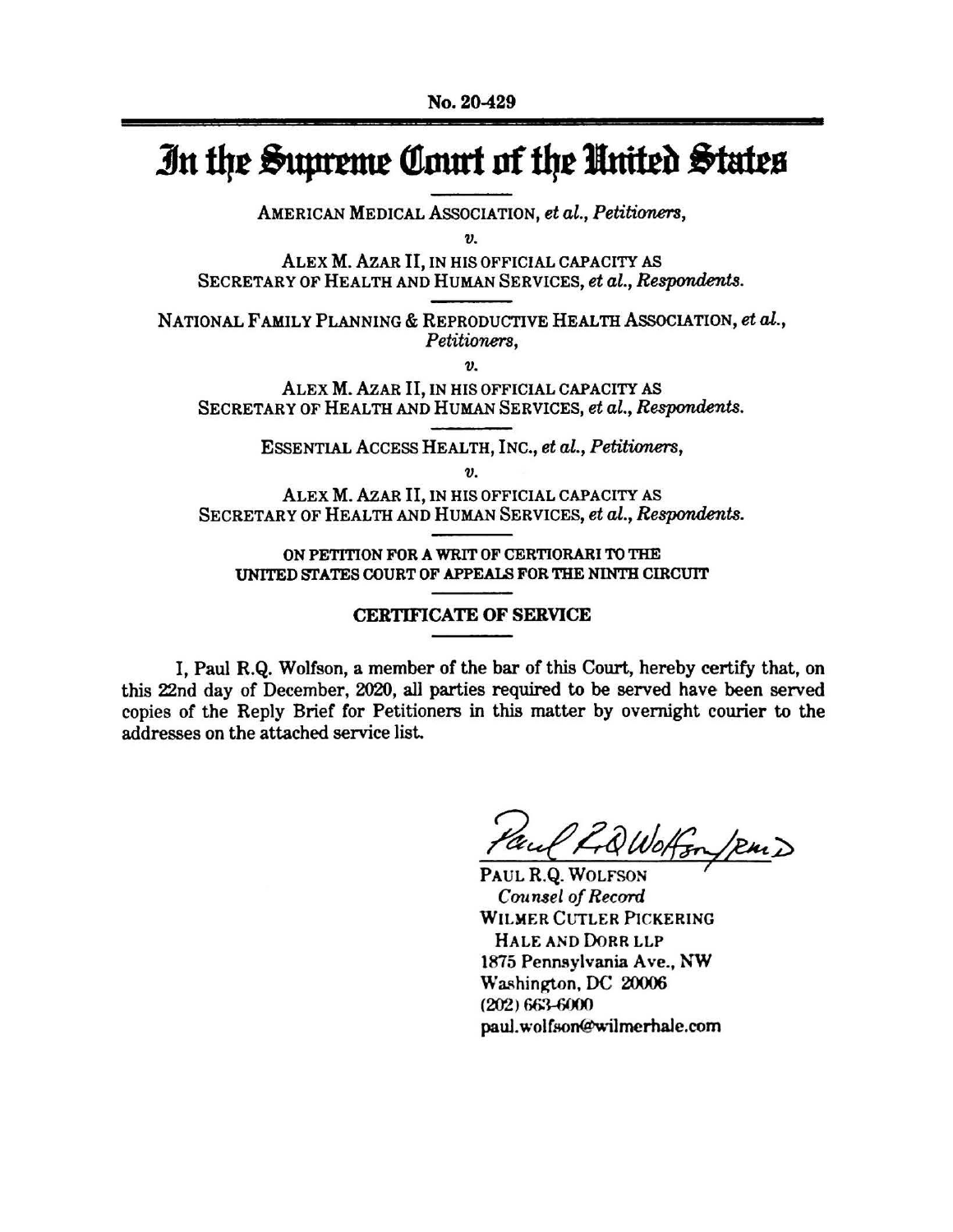## In the Supreme Court of the United States

AMERICAN MEDICAL ASSOCIATION, et al., Petitioners,

 $\boldsymbol{v}$ .

ALEX M. AZAR II, IN HIS OFFICIAL CAPACITY AS SECRETARY OF HEALTH AND HUMAN SERVICES, et al., Respondents.

NATIONAL FAMILY PLANNING & REPRODUCTIVE HEALTH ASSOCIATION, et al., Petitioners,

 $\boldsymbol{v}$ .

ALEX M. AZAR II, IN HIS OFFICIAL CAPACITY AS SECRETARY OF HEALTH AND HUMAN SERVICES, et al., Respondents.

ESSENTIAL ACCESS HEALTH, INC., et al., Petitioners,

 $\boldsymbol{\eta}$ 

ALEX M. AZAR II, IN HIS OFFICIAL CAPACITY AS SECRETARY OF HEALTH AND HUMAN SERVICES, et al., Respondents.

ON PETITION FOR A WRIT OF CERTIORARI TO THE UNITED STATES COURT OF APPEALS FOR THE NINTH CIRCUIT

## **CERTIFICATE OF SERVICE**

I, Paul R.Q. Wolfson, a member of the bar of this Court, hereby certify that, on this 22nd day of December, 2020, all parties required to be served have been served copies of the Reply Brief for Petitioners in this matter by overnight courier to the addresses on the attached service list.

LiQWoffon / RMD

PAUL R.Q. WOLFSON Counsel of Record WILMER CUTLER PICKERING HALE AND DORR LLP 1875 Pennsylvania Ave., NW Washington, DC 20006  $(202) 663 - 6000$ paul.wolfson@wilmerhale.com